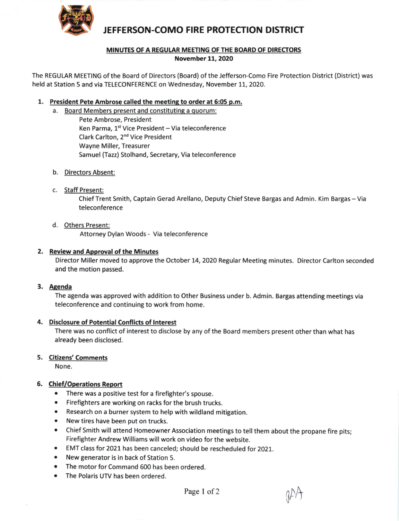

# JEFFERSON-COMO FIRE PROTECTION DISTRICT

## MINUTES OF A REGULAR MEETING OF THE BOARD OF DIRECTORS November 11, 2020

The REGULAR MEETING of the Board of Directors (Board) of the Jefferson-Como Fire Protection District (District) was held at Station 5 and via TELECONFERENCE on Wednesday, November 11, 2020.

# 1, President Pete Ambrose called the meetinq to order at 6:05 p.m.

- a. Board Members present and constituting a quorum:
	- Pete Ambrose, President Ken Parma, 1<sup>st</sup> Vice President - Via teleconference clark Carlton, 2nd Vice President Wayne Miller, Treasurer Samuel (Tazz) Stolhand, Secretary, Via teleconference
- b. Directors Absent:
- c. Staff Present:

Chief Trent Smith, Captain Gerad Arellano, Deputy Chief Steve Bargas and Admin. Kim Bargas - Via teleconference

d. Others Present:

Attorney Dylan Woods - Via teleconference

#### 2. Review and Approval of the Minutes

Director Miller moved to approve the October 14, 2020 Regular Meeting minutes. Director Carlton seconded and the motion passed.

#### 3. Aeenda

The agenda was approved with addition to Other Business under b. Admin. Bargas attending meetings via teleconference and continuing to work from home.

# 4. Disclosure of Potential Conflicts of Interest

There was no conflict of interest to disclose by any of the Board members present other than what has already been disclosed.

## 5. <u>Citizens' Comments</u>

None.

## 5. Chief/Operations Report

- There was a positive test for a firefighter's spouse.
- Firefighters are working on racks for the brush trucks.
- Research on a burner system to help with wildland mitigation.
- New tires have been put on trucks.
- Chief Smith will attend Homeowner Association meetings to tell them about the propane fire pits;  $\bullet$ Firefighter Andrew Williams will work on video for the website.
- EMT class for 2021 has been canceled; should be rescheduled for 2021.
- New generator is in back of Station 5.
- The motor for Command 600 has been ordered.
- The Polaris UTV has been ordered.

 $V'$